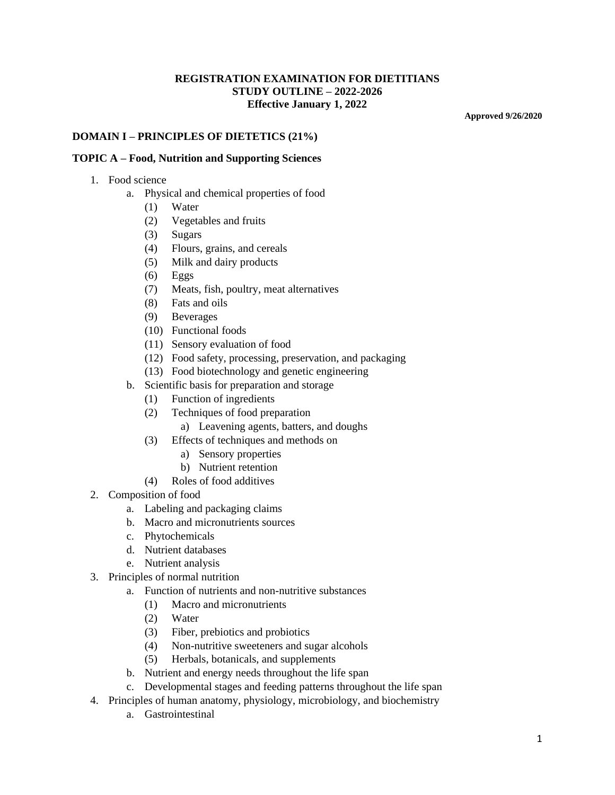## **REGISTRATION EXAMINATION FOR DIETITIANS STUDY OUTLINE – 2022-2026 Effective January 1, 2022**

**Approved 9/26/2020**

#### **DOMAIN I – PRINCIPLES OF DIETETICS (21%)**

#### **TOPIC A – Food, Nutrition and Supporting Sciences**

- 1. Food science
	- a. Physical and chemical properties of food
		- (1) Water
		- (2) Vegetables and fruits
		- (3) Sugars
		- (4) Flours, grains, and cereals
		- (5) Milk and dairy products
		- $(6)$  Eggs
		- (7) Meats, fish, poultry, meat alternatives
		- (8) Fats and oils
		- (9) Beverages
		- (10) Functional foods
		- (11) Sensory evaluation of food
		- (12) Food safety, processing, preservation, and packaging
		- (13) Food biotechnology and genetic engineering
		- b. Scientific basis for preparation and storage
			- (1) Function of ingredients
			- (2) Techniques of food preparation
				- a) Leavening agents, batters, and doughs
			- (3) Effects of techniques and methods on
				- a) Sensory properties
				- b) Nutrient retention
			- (4) Roles of food additives
- 2. Composition of food
	- a. Labeling and packaging claims
	- b. Macro and micronutrients sources
	- c. Phytochemicals
	- d. Nutrient databases
	- e. Nutrient analysis
- 3. Principles of normal nutrition
	- a. Function of nutrients and non-nutritive substances
		- (1) Macro and micronutrients
		- (2) Water
		- (3) Fiber, prebiotics and probiotics
		- (4) Non-nutritive sweeteners and sugar alcohols
		- (5) Herbals, botanicals, and supplements
	- b. Nutrient and energy needs throughout the life span
	- c. Developmental stages and feeding patterns throughout the life span
- 4. Principles of human anatomy, physiology, microbiology, and biochemistry
	- a. Gastrointestinal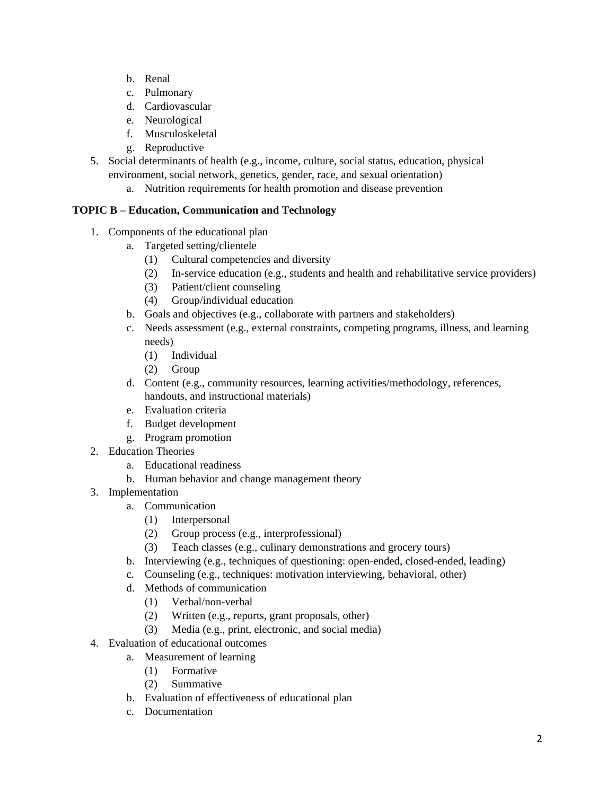- b. Renal
- c. Pulmonary
- d. Cardiovascular
- e. Neurological
- f. Musculoskeletal
- g. Reproductive
- 5. Social determinants of health (e.g., income, culture, social status, education, physical environment, social network, genetics, gender, race, and sexual orientation)
	- a. Nutrition requirements for health promotion and disease prevention

# **TOPIC B – Education, Communication and Technology**

- 1. Components of the educational plan
	- a. Targeted setting/clientele
		- (1) Cultural competencies and diversity
		- (2) In-service education (e.g., students and health and rehabilitative service providers)
		- (3) Patient/client counseling
		- (4) Group/individual education
	- b. Goals and objectives (e.g., collaborate with partners and stakeholders)
	- c. Needs assessment (e.g., external constraints, competing programs, illness, and learning needs)
		- (1) Individual
		- (2) Group
	- d. Content (e.g., community resources, learning activities/methodology, references, handouts, and instructional materials)
	- e. Evaluation criteria
	- f. Budget development
	- g. Program promotion
- 2. Education Theories
	- a. Educational readiness
	- b. Human behavior and change management theory
- 3. Implementation
	- a. Communication
		- (1) Interpersonal
		- (2) Group process (e.g., interprofessional)
		- (3) Teach classes (e.g., culinary demonstrations and grocery tours)
	- b. Interviewing (e.g., techniques of questioning: open-ended, closed-ended, leading)
	- c. Counseling (e.g., techniques: motivation interviewing, behavioral, other)
	- d. Methods of communication
		- (1) Verbal/non-verbal
		- (2) Written (e.g., reports, grant proposals, other)
		- (3) Media (e.g., print, electronic, and social media)
- 4. Evaluation of educational outcomes
	- a. Measurement of learning
		- (1) Formative
		- (2) Summative
	- b. Evaluation of effectiveness of educational plan
	- c. Documentation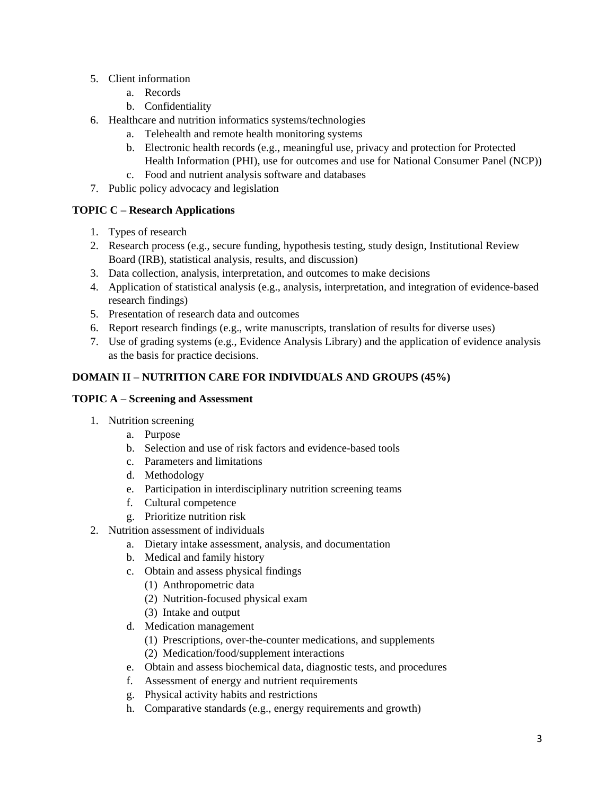- 5. Client information
	- a. Records
	- b. Confidentiality
- 6. Healthcare and nutrition informatics systems/technologies
	- a. Telehealth and remote health monitoring systems
	- b. Electronic health records (e.g., meaningful use, privacy and protection for Protected Health Information (PHI), use for outcomes and use for National Consumer Panel (NCP))
	- c. Food and nutrient analysis software and databases
- 7. Public policy advocacy and legislation

# **TOPIC C – Research Applications**

- 1. Types of research
- 2. Research process (e.g., secure funding, hypothesis testing, study design, Institutional Review Board (IRB), statistical analysis, results, and discussion)
- 3. Data collection, analysis, interpretation, and outcomes to make decisions
- 4. Application of statistical analysis (e.g., analysis, interpretation, and integration of evidence-based research findings)
- 5. Presentation of research data and outcomes
- 6. Report research findings (e.g., write manuscripts, translation of results for diverse uses)
- 7. Use of grading systems (e.g., Evidence Analysis Library) and the application of evidence analysis as the basis for practice decisions.

# **DOMAIN II – NUTRITION CARE FOR INDIVIDUALS AND GROUPS (45%)**

# **TOPIC A – Screening and Assessment**

- 1. Nutrition screening
	- a. Purpose
	- b. Selection and use of risk factors and evidence-based tools
	- c. Parameters and limitations
	- d. Methodology
	- e. Participation in interdisciplinary nutrition screening teams
	- f. Cultural competence
	- g. Prioritize nutrition risk
- 2. Nutrition assessment of individuals
	- a. Dietary intake assessment, analysis, and documentation
	- b. Medical and family history
	- c. Obtain and assess physical findings
		- (1) Anthropometric data
		- (2) Nutrition-focused physical exam
		- (3) Intake and output
	- d. Medication management
		- (1) Prescriptions, over-the-counter medications, and supplements
		- (2) Medication/food/supplement interactions
	- e. Obtain and assess biochemical data, diagnostic tests, and procedures
	- f. Assessment of energy and nutrient requirements
	- g. Physical activity habits and restrictions
	- h. Comparative standards (e.g., energy requirements and growth)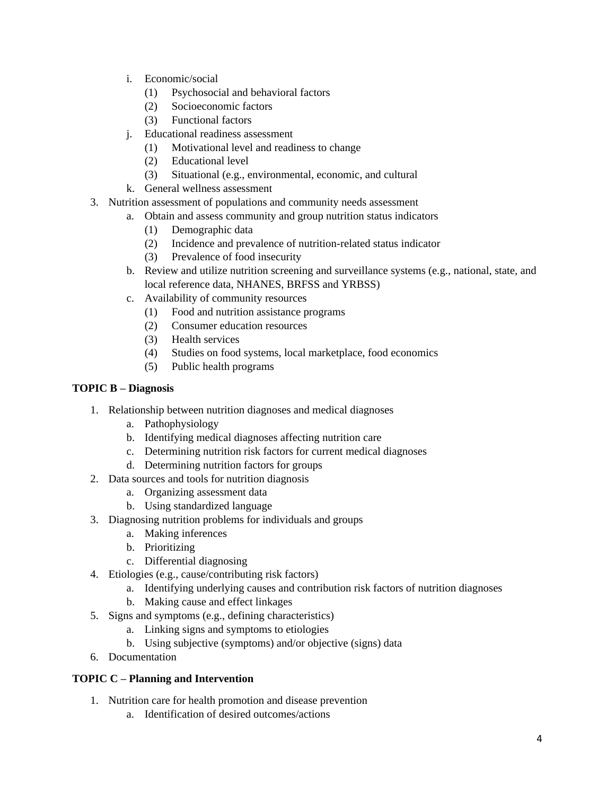- i. Economic/social
	- (1) Psychosocial and behavioral factors
	- (2) Socioeconomic factors
	- (3) Functional factors
- j. Educational readiness assessment
	- (1) Motivational level and readiness to change
	- (2) Educational level
	- (3) Situational (e.g., environmental, economic, and cultural
- k. General wellness assessment
- 3. Nutrition assessment of populations and community needs assessment
	- a. Obtain and assess community and group nutrition status indicators
		- (1) Demographic data
		- (2) Incidence and prevalence of nutrition-related status indicator
		- (3) Prevalence of food insecurity
	- b. Review and utilize nutrition screening and surveillance systems (e.g., national, state, and local reference data, NHANES, BRFSS and YRBSS)
	- c. Availability of community resources
		- (1) Food and nutrition assistance programs
		- (2) Consumer education resources
		- (3) Health services
		- (4) Studies on food systems, local marketplace, food economics
		- (5) Public health programs

# **TOPIC B – Diagnosis**

- 1. Relationship between nutrition diagnoses and medical diagnoses
	- a. Pathophysiology
	- b. Identifying medical diagnoses affecting nutrition care
	- c. Determining nutrition risk factors for current medical diagnoses
	- d. Determining nutrition factors for groups
- 2. Data sources and tools for nutrition diagnosis
	- a. Organizing assessment data
	- b. Using standardized language
- 3. Diagnosing nutrition problems for individuals and groups
	- a. Making inferences
	- b. Prioritizing
	- c. Differential diagnosing
- 4. Etiologies (e.g., cause/contributing risk factors)
	- a. Identifying underlying causes and contribution risk factors of nutrition diagnoses
	- b. Making cause and effect linkages
- 5. Signs and symptoms (e.g., defining characteristics)
	- a. Linking signs and symptoms to etiologies
	- b. Using subjective (symptoms) and/or objective (signs) data
- 6. Documentation

# **TOPIC C – Planning and Intervention**

- 1. Nutrition care for health promotion and disease prevention
	- a. Identification of desired outcomes/actions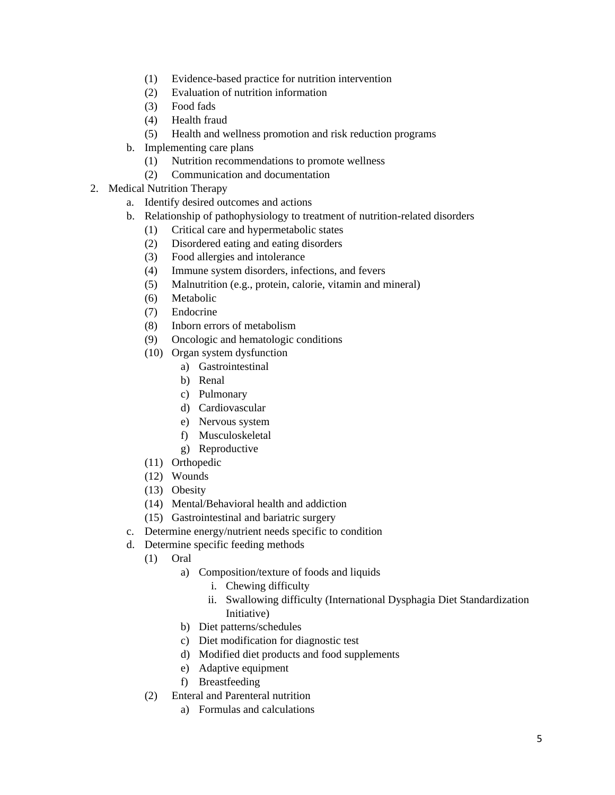- (1) Evidence-based practice for nutrition intervention
- (2) Evaluation of nutrition information
- (3) Food fads
- (4) Health fraud
- (5) Health and wellness promotion and risk reduction programs
- b. Implementing care plans
	- (1) Nutrition recommendations to promote wellness
	- (2) Communication and documentation
- 2. Medical Nutrition Therapy
	- a. Identify desired outcomes and actions
	- b. Relationship of pathophysiology to treatment of nutrition-related disorders
		- (1) Critical care and hypermetabolic states
		- (2) Disordered eating and eating disorders
		- (3) Food allergies and intolerance
		- (4) Immune system disorders, infections, and fevers
		- (5) Malnutrition (e.g., protein, calorie, vitamin and mineral)
		- (6) Metabolic
		- (7) Endocrine
		- (8) Inborn errors of metabolism
		- (9) Oncologic and hematologic conditions
		- (10) Organ system dysfunction
			- a) Gastrointestinal
			- b) Renal
			- c) Pulmonary
			- d) Cardiovascular
			- e) Nervous system
			- f) Musculoskeletal
			- g) Reproductive
		- (11) Orthopedic
		- (12) Wounds
		- (13) Obesity
		- (14) Mental/Behavioral health and addiction
		- (15) Gastrointestinal and bariatric surgery
	- c. Determine energy/nutrient needs specific to condition
	- d. Determine specific feeding methods
		- (1) Oral
			- a) Composition/texture of foods and liquids
				- i. Chewing difficulty
				- ii. Swallowing difficulty (International Dysphagia Diet Standardization Initiative)
			- b) Diet patterns/schedules
			- c) Diet modification for diagnostic test
			- d) Modified diet products and food supplements
			- e) Adaptive equipment
			- f) Breastfeeding
		- (2) Enteral and Parenteral nutrition
			- a) Formulas and calculations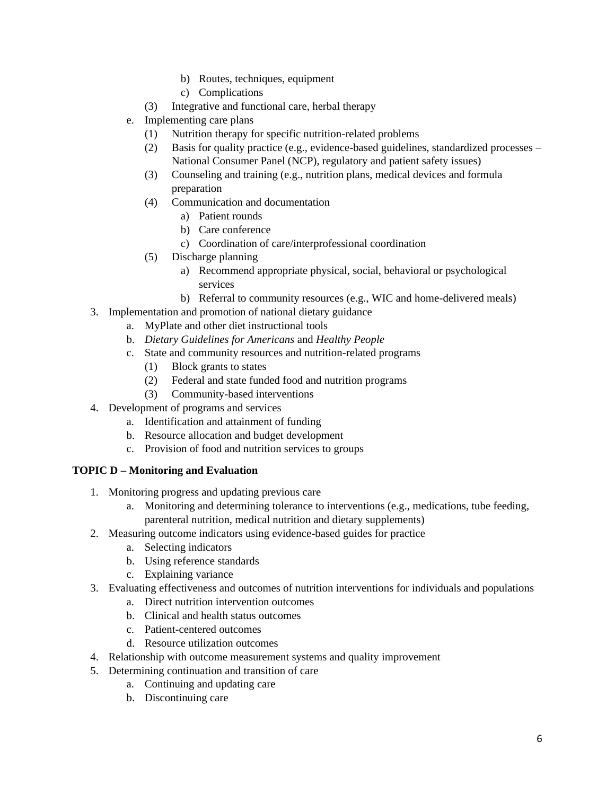- b) Routes, techniques, equipment
- c) Complications
- (3) Integrative and functional care, herbal therapy
- e. Implementing care plans
	- (1) Nutrition therapy for specific nutrition-related problems
	- (2) Basis for quality practice (e.g., evidence-based guidelines, standardized processes National Consumer Panel (NCP), regulatory and patient safety issues)
	- (3) Counseling and training (e.g., nutrition plans, medical devices and formula preparation
	- (4) Communication and documentation
		- a) Patient rounds
		- b) Care conference
		- c) Coordination of care/interprofessional coordination
	- (5) Discharge planning
		- a) Recommend appropriate physical, social, behavioral or psychological services
		- b) Referral to community resources (e.g., WIC and home-delivered meals)
- 3. Implementation and promotion of national dietary guidance
	- a. MyPlate and other diet instructional tools
		- b. *Dietary Guidelines for Americans* and *Healthy People*
		- c. State and community resources and nutrition-related programs
			- (1) Block grants to states
			- (2) Federal and state funded food and nutrition programs
			- (3) Community-based interventions
- 4. Development of programs and services
	- a. Identification and attainment of funding
	- b. Resource allocation and budget development
	- c. Provision of food and nutrition services to groups

## **TOPIC D – Monitoring and Evaluation**

- 1. Monitoring progress and updating previous care
	- a. Monitoring and determining tolerance to interventions (e.g., medications, tube feeding, parenteral nutrition, medical nutrition and dietary supplements)
- 2. Measuring outcome indicators using evidence-based guides for practice
	- a. Selecting indicators
	- b. Using reference standards
	- c. Explaining variance
- 3. Evaluating effectiveness and outcomes of nutrition interventions for individuals and populations
	- a. Direct nutrition intervention outcomes
	- b. Clinical and health status outcomes
	- c. Patient-centered outcomes
	- d. Resource utilization outcomes
- 4. Relationship with outcome measurement systems and quality improvement
- 5. Determining continuation and transition of care
	- a. Continuing and updating care
	- b. Discontinuing care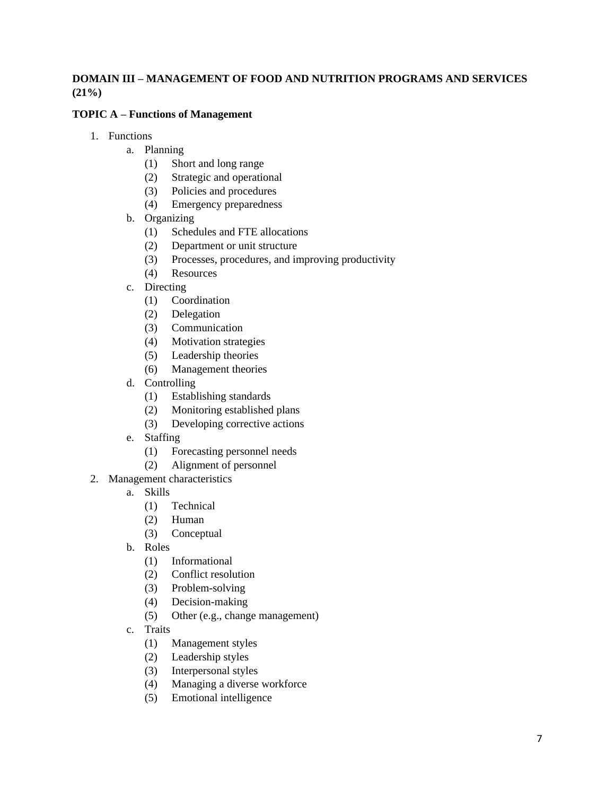# **DOMAIN III – MANAGEMENT OF FOOD AND NUTRITION PROGRAMS AND SERVICES (21%)**

## **TOPIC A – Functions of Management**

- 1. Functions
	- a. Planning
		- (1) Short and long range
		- (2) Strategic and operational
		- (3) Policies and procedures
		- (4) Emergency preparedness
	- b. Organizing
		- (1) Schedules and FTE allocations
		- (2) Department or unit structure
		- (3) Processes, procedures, and improving productivity
		- (4) Resources
	- c. Directing
		- (1) Coordination
		- (2) Delegation
		- (3) Communication
		- (4) Motivation strategies
		- (5) Leadership theories
		- (6) Management theories
	- d. Controlling
		- (1) Establishing standards
		- (2) Monitoring established plans
		- (3) Developing corrective actions
	- e. Staffing
		- (1) Forecasting personnel needs
		- (2) Alignment of personnel
- 2. Management characteristics
	- a. Skills
		- (1) Technical
		- (2) Human
		- (3) Conceptual
	- b. Roles
		- (1) Informational
		- (2) Conflict resolution
		- (3) Problem-solving
		- (4) Decision-making
		- (5) Other (e.g., change management)
	- c. Traits
		- (1) Management styles
		- (2) Leadership styles
		- (3) Interpersonal styles
		- (4) Managing a diverse workforce
		- (5) Emotional intelligence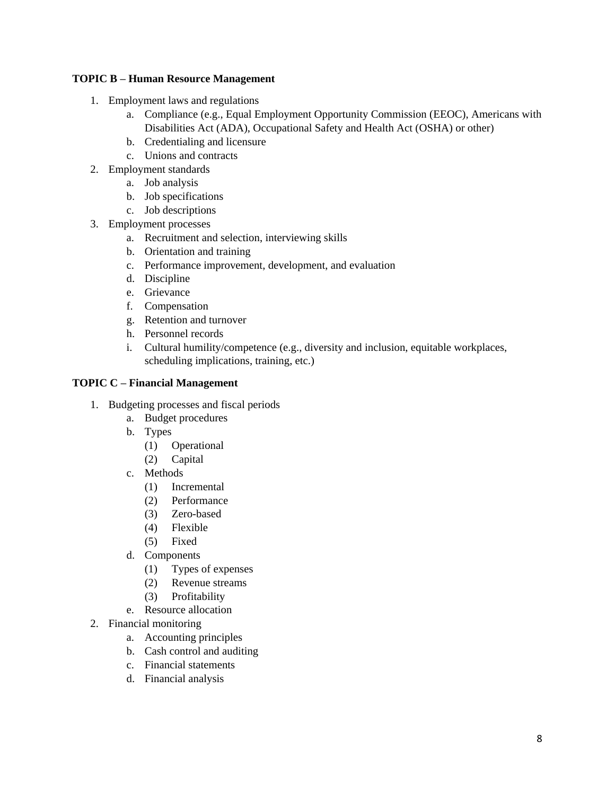## **TOPIC B – Human Resource Management**

- 1. Employment laws and regulations
	- a. Compliance (e.g., Equal Employment Opportunity Commission (EEOC), Americans with Disabilities Act (ADA), Occupational Safety and Health Act (OSHA) or other)
	- b. Credentialing and licensure
	- c. Unions and contracts
- 2. Employment standards
	- a. Job analysis
	- b. Job specifications
	- c. Job descriptions
- 3. Employment processes
	- a. Recruitment and selection, interviewing skills
	- b. Orientation and training
	- c. Performance improvement, development, and evaluation
	- d. Discipline
	- e. Grievance
	- f. Compensation
	- g. Retention and turnover
	- h. Personnel records
	- i. Cultural humility/competence (e.g., diversity and inclusion, equitable workplaces, scheduling implications, training, etc.)

# **TOPIC C – Financial Management**

- 1. Budgeting processes and fiscal periods
	- a. Budget procedures
	- b. Types
		- (1) Operational
		- (2) Capital
	- c. Methods
		- (1) Incremental
		- (2) Performance
		- (3) Zero-based
		- (4) Flexible
		- (5) Fixed
	- d. Components
		- (1) Types of expenses
		- (2) Revenue streams
		- (3) Profitability
	- e. Resource allocation
- 2. Financial monitoring
	- a. Accounting principles
	- b. Cash control and auditing
	- c. Financial statements
	- d. Financial analysis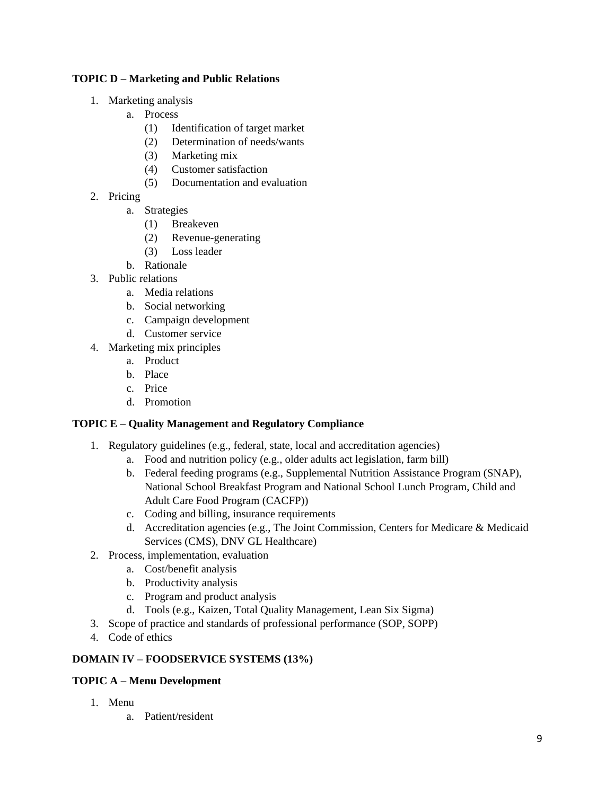# **TOPIC D – Marketing and Public Relations**

- 1. Marketing analysis
	- a. Process
		- (1) Identification of target market
		- (2) Determination of needs/wants
		- (3) Marketing mix
		- (4) Customer satisfaction
		- (5) Documentation and evaluation
- 2. Pricing
	- a. Strategies
		- (1) Breakeven
		- (2) Revenue-generating
		- (3) Loss leader
	- b. Rationale
- 3. Public relations
	- a. Media relations
	- b. Social networking
	- c. Campaign development
	- d. Customer service
- 4. Marketing mix principles
	- a. Product
	- b. Place
	- c. Price
	- d. Promotion

## **TOPIC E – Quality Management and Regulatory Compliance**

- 1. Regulatory guidelines (e.g., federal, state, local and accreditation agencies)
	- a. Food and nutrition policy (e.g., older adults act legislation, farm bill)
	- b. Federal feeding programs (e.g., Supplemental Nutrition Assistance Program (SNAP), National School Breakfast Program and National School Lunch Program, Child and Adult Care Food Program (CACFP))
	- c. Coding and billing, insurance requirements
	- d. Accreditation agencies (e.g., The Joint Commission, Centers for Medicare & Medicaid Services (CMS), DNV GL Healthcare)
- 2. Process, implementation, evaluation
	- a. Cost/benefit analysis
	- b. Productivity analysis
	- c. Program and product analysis
	- d. Tools (e.g., Kaizen, Total Quality Management, Lean Six Sigma)
- 3. Scope of practice and standards of professional performance (SOP, SOPP)
- 4. Code of ethics

## **DOMAIN IV – FOODSERVICE SYSTEMS (13%)**

## **TOPIC A – Menu Development**

- 1. Menu
	- a. Patient/resident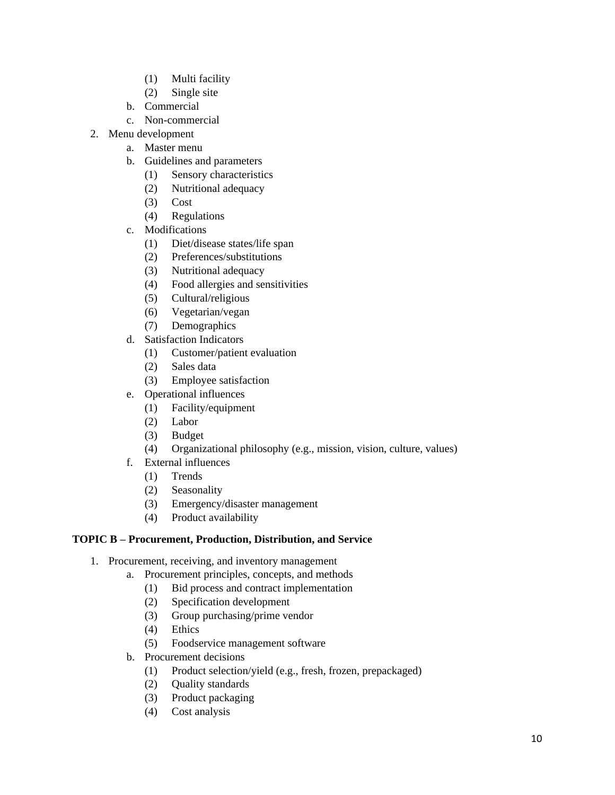- (1) Multi facility
- (2) Single site
- b. Commercial
- c. Non-commercial
- 2. Menu development
	- a. Master menu
	- b. Guidelines and parameters
		- (1) Sensory characteristics
		- (2) Nutritional adequacy
		- (3) Cost
		- (4) Regulations
	- c. Modifications
		- (1) Diet/disease states/life span
		- (2) Preferences/substitutions
		- (3) Nutritional adequacy
		- (4) Food allergies and sensitivities
		- (5) Cultural/religious
		- (6) Vegetarian/vegan
		- (7) Demographics
	- d. Satisfaction Indicators
		- (1) Customer/patient evaluation
		- (2) Sales data
		- (3) Employee satisfaction
	- e. Operational influences
		- (1) Facility/equipment
		- (2) Labor
		- (3) Budget
		- (4) Organizational philosophy (e.g., mission, vision, culture, values)
	- f. External influences
		- (1) Trends
		- (2) Seasonality
		- (3) Emergency/disaster management
		- (4) Product availability

# **TOPIC B – Procurement, Production, Distribution, and Service**

- 1. Procurement, receiving, and inventory management
	- a. Procurement principles, concepts, and methods
		- (1) Bid process and contract implementation
		- (2) Specification development
		- (3) Group purchasing/prime vendor
		- (4) Ethics
		- (5) Foodservice management software
	- b. Procurement decisions
		- (1) Product selection/yield (e.g., fresh, frozen, prepackaged)
		- (2) Quality standards
		- (3) Product packaging
		- (4) Cost analysis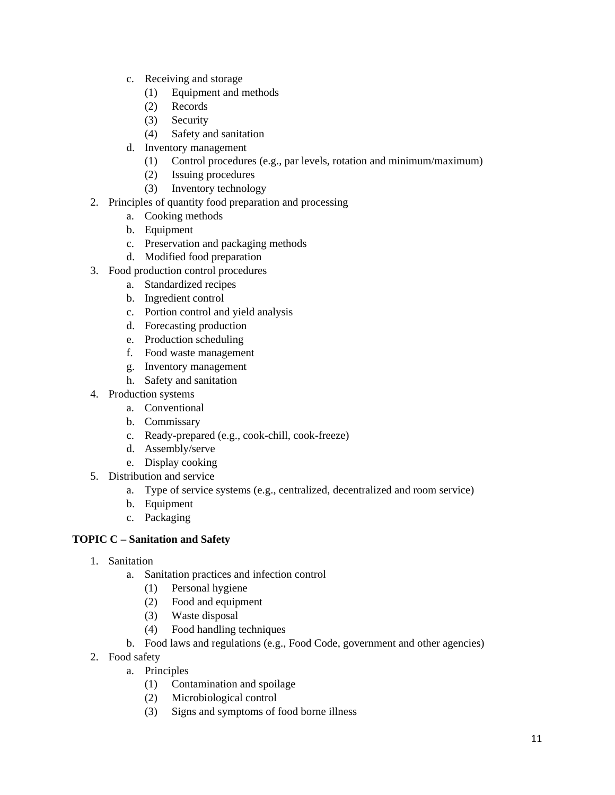- c. Receiving and storage
	- (1) Equipment and methods
	- (2) Records
	- (3) Security
	- (4) Safety and sanitation
- d. Inventory management
	- (1) Control procedures (e.g., par levels, rotation and minimum/maximum)
	- (2) Issuing procedures
	- (3) Inventory technology
- 2. Principles of quantity food preparation and processing
	- a. Cooking methods
	- b. Equipment
	- c. Preservation and packaging methods
	- d. Modified food preparation
- 3. Food production control procedures
	- a. Standardized recipes
	- b. Ingredient control
	- c. Portion control and yield analysis
	- d. Forecasting production
	- e. Production scheduling
	- f. Food waste management
	- g. Inventory management
	- h. Safety and sanitation
- 4. Production systems
	- a. Conventional
	- b. Commissary
	- c. Ready-prepared (e.g., cook-chill, cook-freeze)
	- d. Assembly/serve
	- e. Display cooking
- 5. Distribution and service
	- a. Type of service systems (e.g., centralized, decentralized and room service)
	- b. Equipment
	- c. Packaging

# **TOPIC C – Sanitation and Safety**

- 1. Sanitation
	- a. Sanitation practices and infection control
		- (1) Personal hygiene
		- (2) Food and equipment
		- (3) Waste disposal
		- (4) Food handling techniques
	- b. Food laws and regulations (e.g., Food Code, government and other agencies)
- 2. Food safety
	- a. Principles
		- (1) Contamination and spoilage
		- (2) Microbiological control
		- (3) Signs and symptoms of food borne illness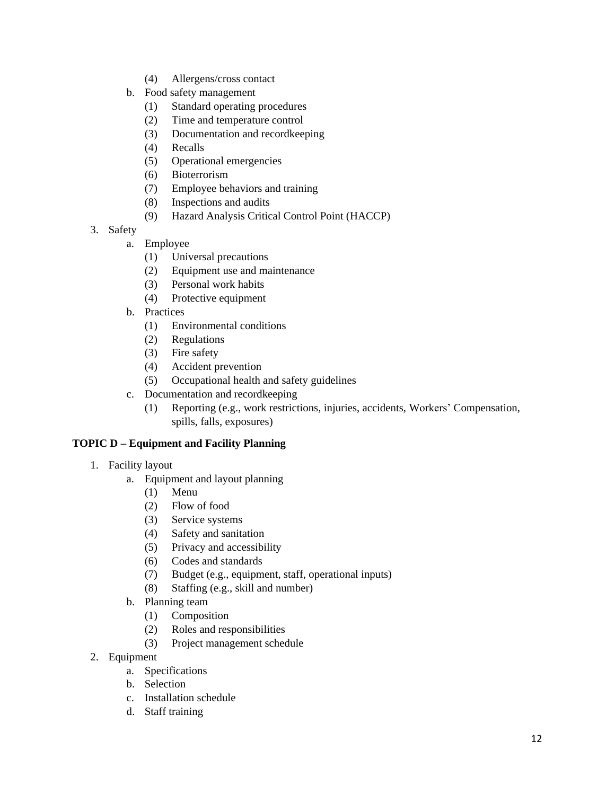- (4) Allergens/cross contact
- b. Food safety management
	- (1) Standard operating procedures
	- (2) Time and temperature control
	- (3) Documentation and recordkeeping
	- (4) Recalls
	- (5) Operational emergencies
	- (6) Bioterrorism
	- (7) Employee behaviors and training
	- (8) Inspections and audits
	- (9) Hazard Analysis Critical Control Point (HACCP)
- 3. Safety
	- a. Employee
		- (1) Universal precautions
		- (2) Equipment use and maintenance
		- (3) Personal work habits
		- (4) Protective equipment
	- b. Practices
		- (1) Environmental conditions
		- (2) Regulations
		- (3) Fire safety
		- (4) Accident prevention
		- (5) Occupational health and safety guidelines
	- c. Documentation and recordkeeping
		- (1) Reporting (e.g., work restrictions, injuries, accidents, Workers' Compensation, spills, falls, exposures)

# **TOPIC D – Equipment and Facility Planning**

- 1. Facility layout
	- a. Equipment and layout planning
		- (1) Menu
		- (2) Flow of food
		- (3) Service systems
		- (4) Safety and sanitation
		- (5) Privacy and accessibility
		- (6) Codes and standards
		- (7) Budget (e.g., equipment, staff, operational inputs)
		- (8) Staffing (e.g., skill and number)
	- b. Planning team
		- (1) Composition
		- (2) Roles and responsibilities
		- (3) Project management schedule
- 2. Equipment
	- a. Specifications
	- b. Selection
	- c. Installation schedule
	- d. Staff training